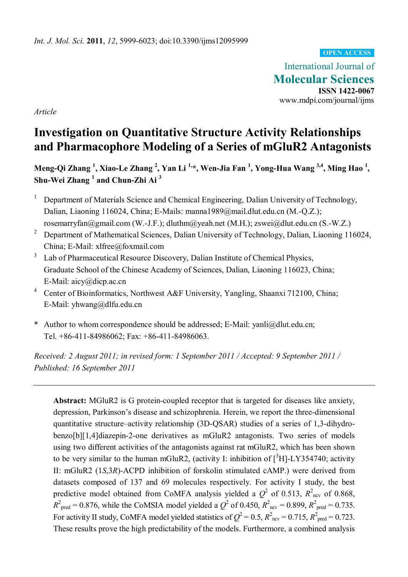#### **OPEN ACCESS**

International Journal of **Molecular Sciences ISSN 1422-0067**  www.mdpi.com/journal/ijms

*Article* 

# **Investigation on Quantitative Structure Activity Relationships and Pharmacophore Modeling of a Series of mGluR2 Antagonists**

**Meng-Qi Zhang <sup>1</sup> , Xiao-Le Zhang <sup>2</sup> , Yan Li 1,\*, Wen-Jia Fan 1 , Yong-Hua Wang 3,4, Ming Hao 1 , Shu-Wei Zhang <sup>1</sup> and Chun-Zhi Ai <sup>3</sup>**

- <sup>1</sup> Department of Materials Science and Chemical Engineering, Dalian University of Technology, Dalian, Liaoning 116024, China; E-Mails: manna1989@mail.dlut.edu.cn (M.-Q.Z.); rosemarryfan@gmail.com (W.-J.F.); dluthm@yeah.net (M.H.); zswei@dlut.edu.cn (S.-W.Z.)
- <sup>2</sup> Department of Mathematical Sciences, Dalian University of Technology, Dalian, Liaoning 116024, China; E-Mail: xlfree@foxmail.com
- <sup>3</sup> Lab of Pharmaceutical Resource Discovery, Dalian Institute of Chemical Physics, Graduate School of the Chinese Academy of Sciences, Dalian, Liaoning 116023, China; E-Mail: aicy@dicp.ac.cn
- <sup>4</sup> Center of Bioinformatics, Northwest A&F University, Yangling, Shaanxi 712100, China; E-Mail: yhwang@dlfu.edu.cn
- \* Author to whom correspondence should be addressed; E-Mail: yanli@dlut.edu.cn; Tel. +86-411-84986062; Fax: +86-411-84986063.

*Received: 2 August 2011; in revised form: 1 September 2011 / Accepted: 9 September 2011 / Published: 16 September 2011* 

**Abstract:** MGluR2 is G protein-coupled receptor that is targeted for diseases like anxiety, depression, Parkinson's disease and schizophrenia. Herein, we report the three-dimensional quantitative structure–activity relationship (3D-QSAR) studies of a series of 1,3-dihydrobenzo[b][1,4]diazepin-2-one derivatives as mGluR2 antagonists. Two series of models using two different activities of the antagonists against rat mGluR2, which has been shown to be very similar to the human mGluR2, (activity I: inhibition of  $[^3H]$ -LY354740; activity II: mGluR2 (1*S*,3*R*)-ACPD inhibition of forskolin stimulated cAMP.) were derived from datasets composed of 137 and 69 molecules respectively. For activity I study, the best predictive model obtained from CoMFA analysis yielded a  $Q^2$  of 0.513,  $R^2_{\text{ncv}}$  of 0.868,  $R^2_{\text{pred}} = 0.876$ , while the CoMSIA model yielded a  $Q^2$  of 0.450,  $R^2_{\text{ncv}} = 0.899$ ,  $R^2_{\text{pred}} = 0.735$ . For activity II study, CoMFA model yielded statistics of  $Q^2 = 0.5$ ,  $R^2_{\text{ncv}} = 0.715$ ,  $R^2_{\text{pred}} = 0.723$ . These results prove the high predictability of the models. Furthermore, a combined analysis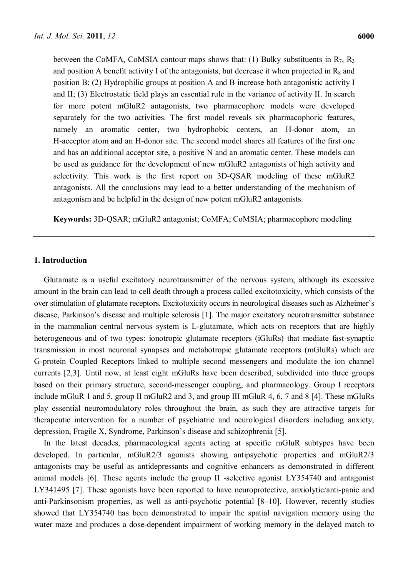between the CoMFA, CoMSIA contour maps shows that: (1) Bulky substituents in  $R_7$ ,  $R_3$ and position A benefit activity I of the antagonists, but decrease it when projected in  $R_8$  and position B; (2) Hydrophilic groups at position A and B increase both antagonistic activity I and II; (3) Electrostatic field plays an essential rule in the variance of activity II. In search for more potent mGluR2 antagonists, two pharmacophore models were developed separately for the two activities. The first model reveals six pharmacophoric features, namely an aromatic center, two hydrophobic centers, an H-donor atom, an H-acceptor atom and an H-donor site. The second model shares all features of the first one and has an additional acceptor site, a positive N and an aromatic center. These models can be used as guidance for the development of new mGluR2 antagonists of high activity and selectivity. This work is the first report on 3D-QSAR modeling of these mGluR2 antagonists. All the conclusions may lead to a better understanding of the mechanism of antagonism and be helpful in the design of new potent mGluR2 antagonists.

**Keywords:** 3D-QSAR; mGluR2 antagonist; CoMFA; CoMSIA; pharmacophore modeling

## **1. Introduction**

Glutamate is a useful excitatory neurotransmitter of the nervous system, although its excessive amount in the brain can lead to cell death through a process called excitotoxicity, which consists of the over stimulation of glutamate receptors. Excitotoxicity occurs in neurological diseases such as Alzheimer's disease, Parkinson's disease and multiple sclerosis [1]. The major excitatory neurotransmitter substance in the mammalian central nervous system is L-glutamate, which acts on receptors that are highly heterogeneous and of two types: ionotropic glutamate receptors (iGluRs) that mediate fast-synaptic transmission in most neuronal synapses and metabotropic glutamate receptors (mGluRs) which are G-protein Coupled Receptors linked to multiple second messengers and modulate the ion channel currents [2,3]. Until now, at least eight mGluRs have been described, subdivided into three groups based on their primary structure, second-messenger coupling, and pharmacology. Group I receptors include mGluR 1 and 5, group II mGluR2 and 3, and group III mGluR 4, 6, 7 and 8 [4]. These mGluRs play essential neuromodulatory roles throughout the brain, as such they are attractive targets for therapeutic intervention for a number of psychiatric and neurological disorders including anxiety, depression, Fragile X, Syndrome, Parkinson's disease and schizophrenia [5].

In the latest decades, pharmacological agents acting at specific mGluR subtypes have been developed. In particular, mGluR2/3 agonists showing antipsychotic properties and mGluR2/3 antagonists may be useful as antidepressants and cognitive enhancers as demonstrated in different animal models [6]. These agents include the group II -selective agonist LY354740 and antagonist LY341495 [7]. These agonists have been reported to have neuroprotective, anxiolytic/anti-panic and anti-Parkinsonism properties, as well as anti-psychotic potential [8–10]. However, recently studies showed that LY354740 has been demonstrated to impair the spatial navigation memory using the water maze and produces a dose-dependent impairment of working memory in the delayed match to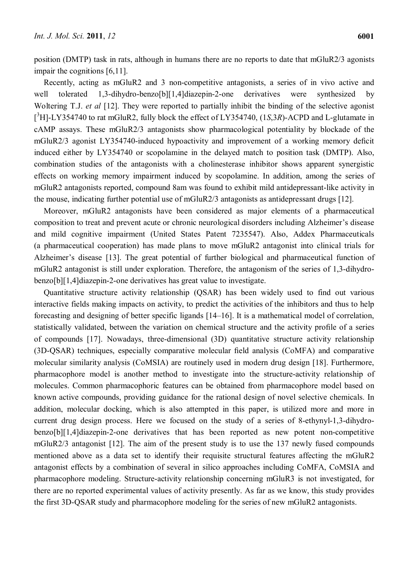position (DMTP) task in rats, although in humans there are no reports to date that mGluR2/3 agonists impair the cognitions [6,11].

Recently, acting as mGluR2 and 3 non-competitive antagonists, a series of in vivo active and well tolerated 1,3-dihydro-benzo[b][1,4]diazepin-2-one derivatives were synthesized by Woltering T.J. *et al* [12]. They were reported to partially inhibit the binding of the selective agonist [<sup>3</sup>H]-LY354740 to rat mGluR2, fully block the effect of LY354740, (1*S*,3*R*)-ACPD and L-glutamate in cAMP assays. These mGluR2/3 antagonists show pharmacological potentiality by blockade of the mGluR2/3 agonist LY354740-induced hypoactivity and improvement of a working memory deficit induced either by LY354740 or scopolamine in the delayed match to position task (DMTP). Also, combination studies of the antagonists with a cholinesterase inhibitor shows apparent synergistic effects on working memory impairment induced by scopolamine. In addition, among the series of mGluR2 antagonists reported, compound 8am was found to exhibit mild antidepressant-like activity in the mouse, indicating further potential use of mGluR2/3 antagonists as antidepressant drugs [12].

Moreover, mGluR2 antagonists have been considered as major elements of a pharmaceutical composition to treat and prevent acute or chronic neurological disorders including Alzheimer's disease and mild cognitive impairment (United States Patent 7235547). Also, Addex Pharmaceuticals (a pharmaceutical cooperation) has made plans to move mGluR2 antagonist into clinical trials for Alzheimer's disease [13]. The great potential of further biological and pharmaceutical function of mGluR2 antagonist is still under exploration. Therefore, the antagonism of the series of 1,3-dihydrobenzo[b][1,4]diazepin-2-one derivatives has great value to investigate.

Quantitative structure activity relationship (QSAR) has been widely used to find out various interactive fields making impacts on activity, to predict the activities of the inhibitors and thus to help forecasting and designing of better specific ligands [14–16]. It is a mathematical model of correlation, statistically validated, between the variation on chemical structure and the activity profile of a series of compounds [17]. Nowadays, three-dimensional (3D) quantitative structure activity relationship (3D-QSAR) techniques, especially comparative molecular field analysis (CoMFA) and comparative molecular similarity analysis (CoMSIA) are routinely used in modern drug design [18]. Furthermore, pharmacophore model is another method to investigate into the structure-activity relationship of molecules. Common pharmacophoric features can be obtained from pharmacophore model based on known active compounds, providing guidance for the rational design of novel selective chemicals. In addition, molecular docking, which is also attempted in this paper, is utilized more and more in current drug design process. Here we focused on the study of a series of 8-ethynyl-1,3-dihydrobenzo[b][1,4]diazepin-2-one derivatives that has been reported as new potent non-competitive mGluR2/3 antagonist [12]. The aim of the present study is to use the 137 newly fused compounds mentioned above as a data set to identify their requisite structural features affecting the mGluR2 antagonist effects by a combination of several in silico approaches including CoMFA, CoMSIA and pharmacophore modeling. Structure-activity relationship concerning mGluR3 is not investigated, for there are no reported experimental values of activity presently. As far as we know, this study provides the first 3D-QSAR study and pharmacophore modeling for the series of new mGluR2 antagonists.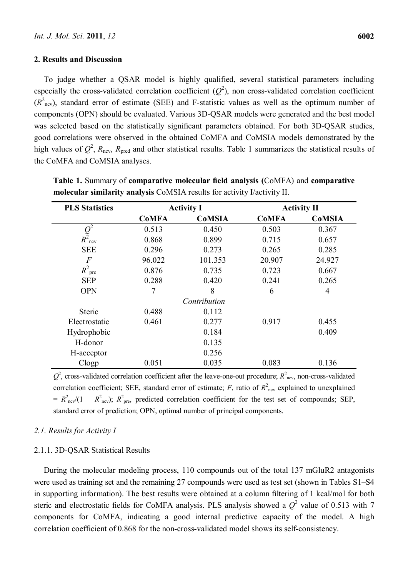## **2. Results and Discussion**

To judge whether a QSAR model is highly qualified, several statistical parameters including especially the cross-validated correlation coefficient  $(Q^2)$ , non cross-validated correlation coefficient  $(R<sup>2</sup><sub>ncv</sub>)$ , standard error of estimate (SEE) and F-statistic values as well as the optimum number of components (OPN) should be evaluated. Various 3D-QSAR models were generated and the best model was selected based on the statistically significant parameters obtained. For both 3D-QSAR studies, good correlations were observed in the obtained CoMFA and CoMSIA models demonstrated by the high values of  $Q^2$ ,  $R_{\text{ncv}}$ ,  $R_{\text{pred}}$  and other statistical results. Table 1 summarizes the statistical results of the CoMFA and CoMSIA analyses.

| <b>PLS Statistics</b> | <b>Activity I</b> |               |              | <b>Activity II</b> |  |  |
|-----------------------|-------------------|---------------|--------------|--------------------|--|--|
|                       | <b>CoMFA</b>      | <b>CoMSIA</b> | <b>CoMFA</b> | <b>CoMSIA</b>      |  |  |
|                       | 0.513             | 0.450         | 0.503        | 0.367              |  |  |
| $Q^2$ <sub>ncv</sub>  | 0.868             | 0.899         | 0.715        | 0.657              |  |  |
| <b>SEE</b>            | 0.296             | 0.273         | 0.265        | 0.285              |  |  |
| $\boldsymbol{F}$      | 96.022            | 101.353       | 20.907       | 24.927             |  |  |
| $R^2$ <sub>pre</sub>  | 0.876             | 0.735         | 0.723        | 0.667              |  |  |
| <b>SEP</b>            | 0.288             | 0.420         | 0.241        | 0.265              |  |  |
| <b>OPN</b>            | 7                 | 8             | 6            | 4                  |  |  |
|                       | Contribution      |               |              |                    |  |  |
| <b>Steric</b>         | 0.488             | 0.112         |              |                    |  |  |
| Electrostatic         | 0.461             | 0.277         | 0.917        | 0.455              |  |  |
| Hydrophobic           |                   | 0.184         |              | 0.409              |  |  |
| H-donor               |                   | 0.135         |              |                    |  |  |
| H-acceptor            |                   | 0.256         |              |                    |  |  |
| C <sub>logp</sub>     | 0.051             | 0.035         | 0.083        | 0.136              |  |  |

**Table 1.** Summary of **comparative molecular field analysis (**CoMFA) and **comparative molecular similarity analysis** CoMSIA results for activity I/activity II.

 $Q^2$ , cross-validated correlation coefficient after the leave-one-out procedure;  $R^2_{\text{ncv}}$ , non-cross-validated correlation coefficient; SEE, standard error of estimate;  $F$ , ratio of  $R<sup>2</sup>_{\text{nev}}$  explained to unexplained  $= R^2_{\text{nev}}/(1 - R^2_{\text{nev}})$ ;  $R^2_{\text{pre}}$ , predicted correlation coefficient for the test set of compounds; SEP, standard error of prediction; OPN, optimal number of principal components.

## *2.1. Results for Activity I*

## 2.1.1. 3D-QSAR Statistical Results

During the molecular modeling process, 110 compounds out of the total 137 mGluR2 antagonists were used as training set and the remaining 27 compounds were used as test set (shown in Tables S1–S4 in supporting information). The best results were obtained at a column filtering of 1 kcal/mol for both steric and electrostatic fields for CoMFA analysis. PLS analysis showed a  $Q^2$  value of 0.513 with 7 components for CoMFA, indicating a good internal predictive capacity of the model. A high correlation coefficient of 0.868 for the non-cross-validated model shows its self-consistency.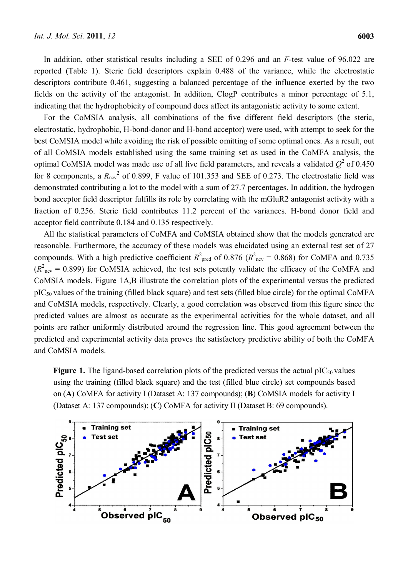In addition, other statistical results including a SEE of 0.296 and an *F*-test value of 96.022 are reported (Table 1). Steric field descriptors explain 0.488 of the variance, while the electrostatic descriptors contribute 0.461, suggesting a balanced percentage of the influence exerted by the two fields on the activity of the antagonist. In addition, ClogP contributes a minor percentage of 5.1, indicating that the hydrophobicity of compound does affect its antagonistic activity to some extent.

For the CoMSIA analysis, all combinations of the five different field descriptors (the steric, electrostatic, hydrophobic, H-bond-donor and H-bond acceptor) were used, with attempt to seek for the best CoMSIA model while avoiding the risk of possible omitting of some optimal ones. As a result, out of all CoMSIA models established using the same training set as used in the CoMFA analysis, the optimal CoMSIA model was made use of all five field parameters, and reveals a validated  $Q^2$  of 0.450 for 8 components, a  $R_{\text{ncv}}^2$  of 0.899, F value of 101.353 and SEE of 0.273. The electrostatic field was demonstrated contributing a lot to the model with a sum of 27.7 percentages. In addition, the hydrogen bond acceptor field descriptor fulfills its role by correlating with the mGluR2 antagonist activity with a fraction of 0.256. Steric field contributes 11.2 percent of the variances. H-bond donor field and acceptor field contribute 0.184 and 0.135 respectively.

All the statistical parameters of CoMFA and CoMSIA obtained show that the models generated are reasonable. Furthermore, the accuracy of these models was elucidated using an external test set of 27 compounds. With a high predictive coefficient  $R^2_{\text{pred}}$  of 0.876 ( $R^2_{\text{ncv}}$  = 0.868) for CoMFA and 0.735  $(R<sup>2</sup><sub>ncv</sub> = 0.899)$  for CoMSIA achieved, the test sets potently validate the efficacy of the CoMFA and CoMSIA models. Figure 1A,B illustrate the correlation plots of the experimental versus the predicted  $pIC_{50}$  values of the training (filled black square) and test sets (filled blue circle) for the optimal CoMFA and CoMSIA models, respectively. Clearly, a good correlation was observed from this figure since the predicted values are almost as accurate as the experimental activities for the whole dataset, and all points are rather uniformly distributed around the regression line. This good agreement between the predicted and experimental activity data proves the satisfactory predictive ability of both the CoMFA and CoMSIA models.

**Figure 1.** The ligand-based correlation plots of the predicted versus the actual  $pIC_{50}$  values using the training (filled black square) and the test (filled blue circle) set compounds based on (**A**) CoMFA for activity I (Dataset A: 137 compounds); (**B**) CoMSIA models for activity I (Dataset A: 137 compounds); (**C**) CoMFA for activity II (Dataset B: 69 compounds).

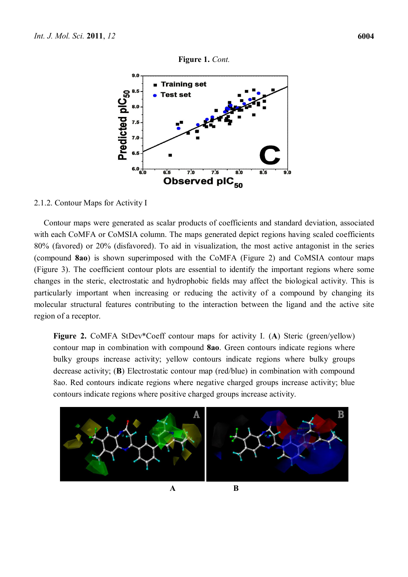

## 2.1.2. Contour Maps for Activity I

Contour maps were generated as scalar products of coefficients and standard deviation, associated with each CoMFA or CoMSIA column. The maps generated depict regions having scaled coefficients 80% (favored) or 20% (disfavored). To aid in visualization, the most active antagonist in the series (compound **8ao**) is shown superimposed with the CoMFA (Figure 2) and CoMSIA contour maps (Figure 3). The coefficient contour plots are essential to identify the important regions where some changes in the steric, electrostatic and hydrophobic fields may affect the biological activity. This is particularly important when increasing or reducing the activity of a compound by changing its molecular structural features contributing to the interaction between the ligand and the active site region of a receptor.

**Figure 2.** CoMFA StDev\*Coeff contour maps for activity I. (**A**) Steric (green/yellow) contour map in combination with compound **8ao**. Green contours indicate regions where bulky groups increase activity; yellow contours indicate regions where bulky groups decrease activity; (**B**) Electrostatic contour map (red/blue) in combination with compound 8ao. Red contours indicate regions where negative charged groups increase activity; blue contours indicate regions where positive charged groups increase activity.

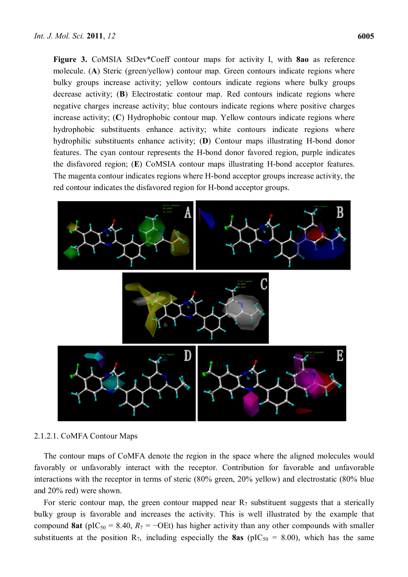**Figure 3.** CoMSIA StDev\*Coeff contour maps for activity I, with **8ao** as reference molecule. (**A**) Steric (green/yellow) contour map. Green contours indicate regions where bulky groups increase activity; yellow contours indicate regions where bulky groups decrease activity; (**B**) Electrostatic contour map. Red contours indicate regions where negative charges increase activity; blue contours indicate regions where positive charges increase activity; (**C**) Hydrophobic contour map. Yellow contours indicate regions where hydrophobic substituents enhance activity; white contours indicate regions where hydrophilic substituents enhance activity; (**D**) Contour maps illustrating H-bond donor features. The cyan contour represents the H-bond donor favored region, purple indicates the disfavored region; (**E**) CoMSIA contour maps illustrating H-bond acceptor features. The magenta contour indicates regions where H-bond acceptor groups increase activity, the red contour indicates the disfavored region for H-bond acceptor groups.



## 2.1.2.1. CoMFA Contour Maps

The contour maps of CoMFA denote the region in the space where the aligned molecules would favorably or unfavorably interact with the receptor. Contribution for favorable and unfavorable interactions with the receptor in terms of steric (80% green, 20% yellow) and electrostatic (80% blue and 20% red) were shown.

For steric contour map, the green contour mapped near  $R_7$  substituent suggests that a sterically bulky group is favorable and increases the activity. This is well illustrated by the example that compound **8at** (pIC<sub>50</sub> = 8.40,  $R_7$  = −OEt) has higher activity than any other compounds with smaller substituents at the position  $R_7$ , including especially the **8as** (pIC<sub>50</sub> = 8.00), which has the same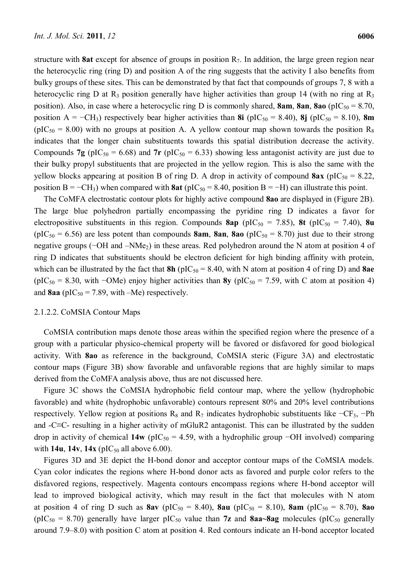structure with **8at** except for absence of groups in position  $R_7$ . In addition, the large green region near the heterocyclic ring (ring D) and position A of the ring suggests that the activity I also benefits from bulky groups of these sites. This can be demonstrated by that fact that compounds of groups 7, 8 with a heterocyclic ring D at R<sub>3</sub> position generally have higher activities than group 14 (with no ring at R<sub>3</sub> position). Also, in case where a heterocyclic ring D is commonly shared, **8am**, **8an**, **8ao** (pIC<sub>50</sub> = 8.70, position A =  $-CH_3$ ) respectively bear higher activities than **8i** (pIC<sub>50</sub> = 8.40), **8j** (pIC<sub>50</sub> = 8.10), **8m** ( $pIC_{50} = 8.00$ ) with no groups at position A. A yellow contour map shown towards the position R<sub>8</sub> indicates that the longer chain substituents towards this spatial distribution decrease the activity. Compounds **7g** ( $pIC_{50} = 6.68$ ) and **7r** ( $pIC_{50} = 6.33$ ) showing less antagonist activity are just due to their bulky propyl substituents that are projected in the yellow region. This is also the same with the yellow blocks appearing at position B of ring D. A drop in activity of compound  $8ax$  (pIC<sub>50</sub> = 8.22, position B =  $-CH_3$ ) when compared with **8at** (pIC<sub>50</sub> = 8.40, position B = −H) can illustrate this point.

The CoMFA electrostatic contour plots for highly active compound **8ao** are displayed in (Figure 2B). The large blue polyhedron partially encompassing the pyridine ring D indicates a favor for electropositive substituents in this region. Compounds  $8ap$  (pIC<sub>50</sub> = 7.85),  $8t$  (pIC<sub>50</sub> = 7.40),  $8u$ ( $pIC_{50} = 6.56$ ) are less potent than compounds **8am**, **8an**, **8ao** ( $pIC_{50} = 8.70$ ) just due to their strong negative groups (−OH and –NMe<sub>2</sub>) in these areas. Red polyhedron around the N atom at position 4 of ring D indicates that substituents should be electron deficient for high binding affinity with protein, which can be illustrated by the fact that  $8h$  ( $pIC_{50} = 8.40$ , with N atom at position 4 of ring D) and  $8ae$ (pIC<sub>50</sub> = 8.30, with −OMe) enjoy higher activities than **8y** (pIC<sub>50</sub> = 7.59, with C atom at position 4) and  $8aa$  ( $pIC_{50} = 7.89$ , with –Me) respectively.

## 2.1.2.2. CoMSIA Contour Maps

CoMSIA contribution maps denote those areas within the specified region where the presence of a group with a particular physico-chemical property will be favored or disfavored for good biological activity. With **8ao** as reference in the background, CoMSIA steric (Figure 3A) and electrostatic contour maps (Figure 3B) show favorable and unfavorable regions that are highly similar to maps derived from the CoMFA analysis above, thus are not discussed here.

Figure 3C shows the CoMSIA hydrophobic field contour map, where the yellow (hydrophobic favorable) and white (hydrophobic unfavorable) contours represent 80% and 20% level contributions respectively. Yellow region at positions  $R_8$  and  $R_7$  indicates hydrophobic substituents like  $-CF_3$ ,  $-Ph$ and -C≡C- resulting in a higher activity of mGluR2 antagonist. This can be illustrated by the sudden drop in activity of chemical **14w** (pIC<sub>50</sub> = 4.59, with a hydrophilic group  $-\text{OH}$  involved) comparing with  $14u$ ,  $14v$ ,  $14x$  ( $pIC_{50}$  all above 6.00).

Figures 3D and 3E depict the H-bond donor and acceptor contour maps of the CoMSIA models. Cyan color indicates the regions where H-bond donor acts as favored and purple color refers to the disfavored regions, respectively. Magenta contours encompass regions where H-bond acceptor will lead to improved biological activity, which may result in the fact that molecules with N atom at position 4 of ring D such as  $8av$  (pIC<sub>50</sub> = 8.40),  $8au$  (pIC<sub>50</sub> = 8.10),  $8am$  (pIC<sub>50</sub> = 8.70),  $8ao$ ( $pIC_{50} = 8.70$ ) generally have larger  $pIC_{50}$  value than **7z** and **8aa~8ag** molecules ( $pIC_{50}$  generally around 7.9–8.0) with position C atom at position 4. Red contours indicate an H-bond acceptor located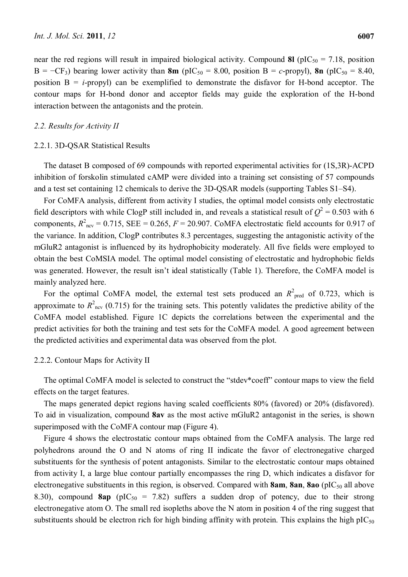near the red regions will result in impaired biological activity. Compound **8l** ( $pIC_{50} = 7.18$ , position B =  $-CF_3$ ) bearing lower activity than **8m** (pIC<sub>50</sub> = 8.00, position B = *c*-propyl), **8n** (pIC<sub>50</sub> = 8.40, position B = *i*-propyl) can be exemplified to demonstrate the disfavor for H-bond acceptor. The contour maps for H-bond donor and acceptor fields may guide the exploration of the H-bond interaction between the antagonists and the protein.

## *2.2. Results for Activity II*

#### 2.2.1. 3D-QSAR Statistical Results

The dataset B composed of 69 compounds with reported experimental activities for (1S,3R)-ACPD inhibition of forskolin stimulated cAMP were divided into a training set consisting of 57 compounds and a test set containing 12 chemicals to derive the 3D-QSAR models (supporting Tables S1–S4).

For CoMFA analysis, different from activity I studies, the optimal model consists only electrostatic field descriptors with while ClogP still included in, and reveals a statistical result of  $Q^2 = 0.503$  with 6 components,  $R^2_{\text{ncv}} = 0.715$ , SEE = 0.265,  $F = 20.907$ . CoMFA electrostatic field accounts for 0.917 of the variance. In addition, ClogP contributes 8.3 percentages, suggesting the antagonistic activity of the mGluR2 antagonist is influenced by its hydrophobicity moderately. All five fields were employed to obtain the best CoMSIA model. The optimal model consisting of electrostatic and hydrophobic fields was generated. However, the result isn't ideal statistically (Table 1). Therefore, the CoMFA model is mainly analyzed here.

For the optimal CoMFA model, the external test sets produced an  $R^2_{\text{pred}}$  of 0.723, which is approximate to  $R^2_{\text{ncv}}$  (0.715) for the training sets. This potently validates the predictive ability of the CoMFA model established. Figure 1C depicts the correlations between the experimental and the predict activities for both the training and test sets for the CoMFA model. A good agreement between the predicted activities and experimental data was observed from the plot.

#### 2.2.2. Contour Maps for Activity II

The optimal CoMFA model is selected to construct the "stdev\*coeff" contour maps to view the field effects on the target features.

The maps generated depict regions having scaled coefficients 80% (favored) or 20% (disfavored). To aid in visualization, compound **8av** as the most active mGluR2 antagonist in the series, is shown superimposed with the CoMFA contour map (Figure 4).

Figure 4 shows the electrostatic contour maps obtained from the CoMFA analysis. The large red polyhedrons around the O and N atoms of ring II indicate the favor of electronegative charged substituents for the synthesis of potent antagonists. Similar to the electrostatic contour maps obtained from activity I, a large blue contour partially encompasses the ring D, which indicates a disfavor for electronegative substituents in this region, is observed. Compared with **8am, 8an, 8ao** (pIC<sub>50</sub> all above 8.30), compound **8ap** ( $pIC_{50} = 7.82$ ) suffers a sudden drop of potency, due to their strong electronegative atom O. The small red isopleths above the N atom in position 4 of the ring suggest that substituents should be electron rich for high binding affinity with protein. This explains the high  $pIC_{50}$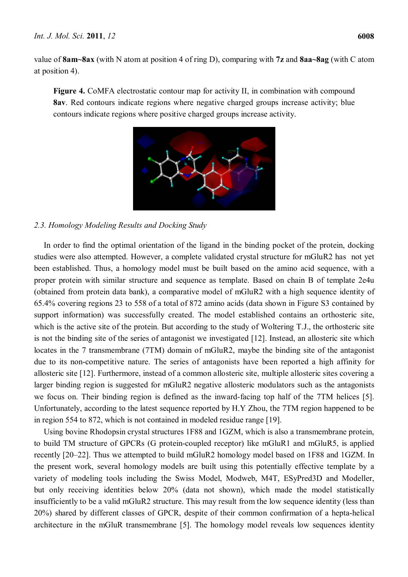value of **8am~8ax** (with N atom at position 4 of ring D), comparing with **7z** and **8aa~8ag** (with C atom at position 4).

**Figure 4.** CoMFA electrostatic contour map for activity II, in combination with compound **8av**. Red contours indicate regions where negative charged groups increase activity; blue contours indicate regions where positive charged groups increase activity.



# *2.3. Homology Modeling Results and Docking Study*

In order to find the optimal orientation of the ligand in the binding pocket of the protein, docking studies were also attempted. However, a complete validated crystal structure for mGluR2 has not yet been established. Thus, a homology model must be built based on the amino acid sequence, with a proper protein with similar structure and sequence as template. Based on chain B of template 2e4u (obtained from protein data bank), a comparative model of mGluR2 with a high sequence identity of 65.4% covering regions 23 to 558 of a total of 872 amino acids (data shown in Figure S3 contained by support information) was successfully created. The model established contains an orthosteric site, which is the active site of the protein. But according to the study of Woltering T.J., the orthosteric site is not the binding site of the series of antagonist we investigated [12]. Instead, an allosteric site which locates in the 7 transmembrane (7TM) domain of mGluR2, maybe the binding site of the antagonist due to its non-competitive nature. The series of antagonists have been reported a high affinity for allosteric site [12]. Furthermore, instead of a common allosteric site, multiple allosteric sites covering a larger binding region is suggested for mGluR2 negative allosteric modulators such as the antagonists we focus on. Their binding region is defined as the inward-facing top half of the 7TM helices [5]. Unfortunately, according to the latest sequence reported by H.Y Zhou, the 7TM region happened to be in region 554 to 872, which is not contained in modeled residue range [19].

Using bovine Rhodopsin crystal structures 1F88 and 1GZM, which is also a transmembrane protein, to build TM structure of GPCRs (G protein-coupled receptor) like mGluR1 and mGluR5, is applied recently [20–22]. Thus we attempted to build mGluR2 homology model based on 1F88 and 1GZM. In the present work, several homology models are built using this potentially effective template by a variety of modeling tools including the Swiss Model, Modweb, M4T, ESyPred3D and Modeller, but only receiving identities below 20% (data not shown), which made the model statistically insufficiently to be a valid mGluR2 structure. This may result from the low sequence identity (less than 20%) shared by different classes of GPCR, despite of their common confirmation of a hepta-helical architecture in the mGluR transmembrane [5]. The homology model reveals low sequences identity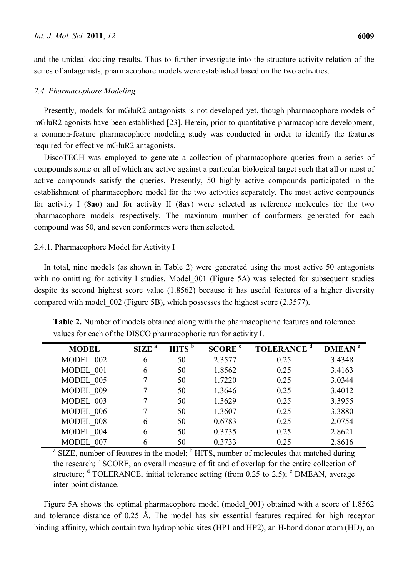and the unideal docking results. Thus to further investigate into the structure-activity relation of the series of antagonists, pharmacophore models were established based on the two activities.

## *2.4. Pharmacophore Modeling*

Presently, models for mGluR2 antagonists is not developed yet, though pharmacophore models of mGluR2 agonists have been established [23]. Herein, prior to quantitative pharmacophore development, a common-feature pharmacophore modeling study was conducted in order to identify the features required for effective mGluR2 antagonists.

DiscoTECH was employed to generate a collection of pharmacophore queries from a series of compounds some or all of which are active against a particular biological target such that all or most of active compounds satisfy the queries. Presently, 50 highly active compounds participated in the establishment of pharmacophore model for the two activities separately. The most active compounds for activity I (**8ao**) and for activity II (**8av**) were selected as reference molecules for the two pharmacophore models respectively. The maximum number of conformers generated for each compound was 50, and seven conformers were then selected.

## 2.4.1. Pharmacophore Model for Activity I

In total, nine models (as shown in Table 2) were generated using the most active 50 antagonists with no omitting for activity I studies. Model 001 (Figure 5A) was selected for subsequent studies despite its second highest score value (1.8562) because it has useful features of a higher diversity compared with model\_002 (Figure 5B), which possesses the highest score (2.3577).

| <b>MODEL</b> | SIZE <sup>a</sup> | $\overline{H}$ HITS $^{\rm b}$ | SCORE <sup>c</sup> | <b>TOLERANCE</b> <sup>d</sup> | DMEAN <sup>e</sup> |
|--------------|-------------------|--------------------------------|--------------------|-------------------------------|--------------------|
| MODEL 002    | 6                 | 50                             | 2.3577             | 0.25                          | 3.4348             |
| MODEL 001    | 6                 | 50                             | 1.8562             | 0.25                          | 3.4163             |
| MODEL 005    |                   | 50                             | 1.7220             | 0.25                          | 3.0344             |
| MODEL 009    |                   | 50                             | 1.3646             | 0.25                          | 3.4012             |
| MODEL 003    |                   | 50                             | 1.3629             | 0.25                          | 3.3955             |
| MODEL 006    |                   | 50                             | 1.3607             | 0.25                          | 3.3880             |
| MODEL 008    | 6                 | 50                             | 0.6783             | 0.25                          | 2.0754             |
| MODEL 004    | 6                 | 50                             | 0.3735             | 0.25                          | 2.8621             |
| MODEL 007    |                   | 50                             | 0.3733             | 0.25                          | 2.8616             |

**Table 2.** Number of models obtained along with the pharmacophoric features and tolerance values for each of the DISCO pharmacophoric run for activity I.

MODEL\_007 6 50 0.3733 0.25 2.8616 a SIZE, number of features in the model;  $\frac{b}{b}$  HITS, number of molecules that matched during the research; <sup>c</sup> SCORE, an overall measure of fit and of overlap for the entire collection of structure;  $d$  TOLERANCE, initial tolerance setting (from 0.25 to 2.5);  $e$  DMEAN, average inter-point distance.

Figure 5A shows the optimal pharmacophore model (model\_001) obtained with a score of 1.8562 and tolerance distance of 0.25 Å. The model has six essential features required for high receptor binding affinity, which contain two hydrophobic sites (HP1 and HP2), an H-bond donor atom (HD), an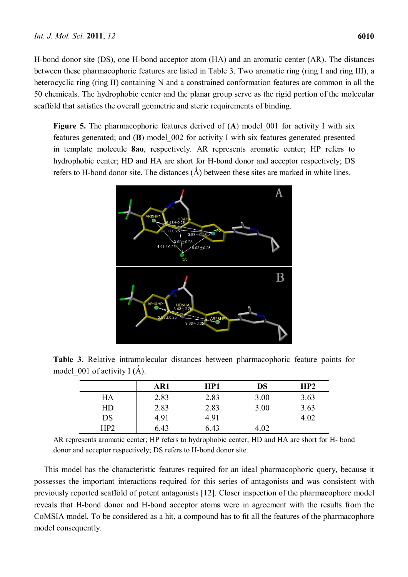H-bond donor site (DS), one H-bond acceptor atom (HA) and an aromatic center (AR). The distances between these pharmacophoric features are listed in Table 3. Two aromatic ring (ring I and ring III), a heterocyclic ring (ring II) containing N and a constrained conformation features are common in all the 50 chemicals. The hydrophobic center and the planar group serve as the rigid portion of the molecular scaffold that satisfies the overall geometric and steric requirements of binding.

Figure 5. The pharmacophoric features derived of (A) model 001 for activity I with six features generated; and (**B**) model\_002 for activity I with six features generated presented in template molecule **8ao**, respectively. AR represents aromatic center; HP refers to hydrophobic center; HD and HA are short for H-bond donor and acceptor respectively; DS refers to H-bond donor site. The distances  $(\hat{A})$  between these sites are marked in white lines.



**Table 3.** Relative intramolecular distances between pharmacophoric feature points for model 001 of activity I  $(\AA)$ .

|     | AR1  | HP1  | DS   | HP <sub>2</sub> |
|-----|------|------|------|-----------------|
| HA  | 2.83 | 2.83 | 3.00 | 3.63            |
| HD  | 2.83 | 2.83 | 3.00 | 3.63            |
| DS  | 4.91 | 4.91 |      | 4.02            |
| HP2 | 6.43 | 6.43 | 4.02 |                 |

AR represents aromatic center; HP refers to hydrophobic center; HD and HA are short for H- bond donor and acceptor respectively; DS refers to H-bond donor site.

This model has the characteristic features required for an ideal pharmacophoric query, because it possesses the important interactions required for this series of antagonists and was consistent with previously reported scaffold of potent antagonists [12]. Closer inspection of the pharmacophore model reveals that H-bond donor and H-bond acceptor atoms were in agreement with the results from the CoMSIA model. To be considered as a hit, a compound has to fit all the features of the pharmacophore model consequently.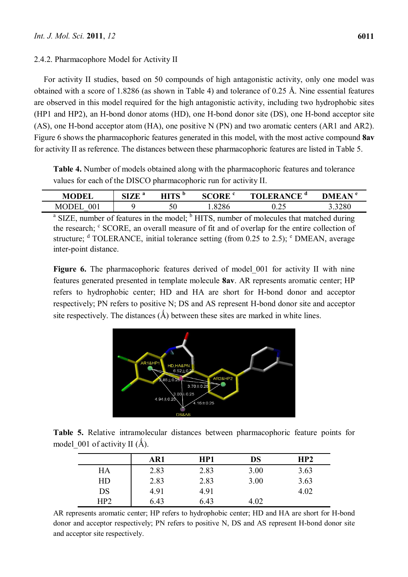## 2.4.2. Pharmacophore Model for Activity II

For activity II studies, based on 50 compounds of high antagonistic activity, only one model was obtained with a score of 1.8286 (as shown in Table 4) and tolerance of 0.25 Å. Nine essential features are observed in this model required for the high antagonistic activity, including two hydrophobic sites (HP1 and HP2), an H-bond donor atoms (HD), one H-bond donor site (DS), one H-bond acceptor site (AS), one H-bond acceptor atom (HA), one positive N (PN) and two aromatic centers (AR1 and AR2). Figure 6 shows the pharmacophoric features generated in this model, with the most active compound **8av** for activity II as reference. The distances between these pharmacophoric features are listed in Table 5.

**Table 4.** Number of models obtained along with the pharmacophoric features and tolerance values for each of the DISCO pharmacophoric run for activity II.

| <b>MODEI</b>                    | a<br>CIZE<br>SIZE | ите<br>v  | <b>SCORE</b> <sup>c</sup> | NCE <sup>a</sup>  | DMEAN * |
|---------------------------------|-------------------|-----------|---------------------------|-------------------|---------|
| 001<br>M <sub>C</sub><br>Œ<br>_ |                   | r c<br>υU | 1.8286                    | $\bigcap$<br>∪.∠J | 3.3280  |
|                                 |                   |           |                           |                   |         |

<sup>a</sup> SIZE, number of features in the model; <sup>b</sup> HITS, number of molecules that matched during the research; <sup>c</sup> SCORE, an overall measure of fit and of overlap for the entire collection of structure;  $d$  TOLERANCE, initial tolerance setting (from 0.25 to 2.5);  $e$  DMEAN, average inter-point distance.

Figure 6. The pharmacophoric features derived of model 001 for activity II with nine features generated presented in template molecule **8av**. AR represents aromatic center; HP refers to hydrophobic center; HD and HA are short for H-bond donor and acceptor respectively; PN refers to positive N; DS and AS represent H-bond donor site and acceptor site respectively. The distances  $(\hat{A})$  between these sites are marked in white lines.



**Table 5.** Relative intramolecular distances between pharmacophoric feature points for model 001 of activity II  $(\AA)$ .

|     | AR1  | HP1  | DS   | HP <sub>2</sub> |
|-----|------|------|------|-----------------|
| HA  | 2.83 | 2.83 | 3.00 | 3.63            |
| HD  | 2.83 | 2.83 | 3.00 | 3.63            |
| DS  | 4.91 | 4.91 |      | 4.02            |
| HP2 | 6.43 | 6.43 | 4.02 |                 |

AR represents aromatic center; HP refers to hydrophobic center; HD and HA are short for H-bond donor and acceptor respectively; PN refers to positive N, DS and AS represent H-bond donor site and acceptor site respectively.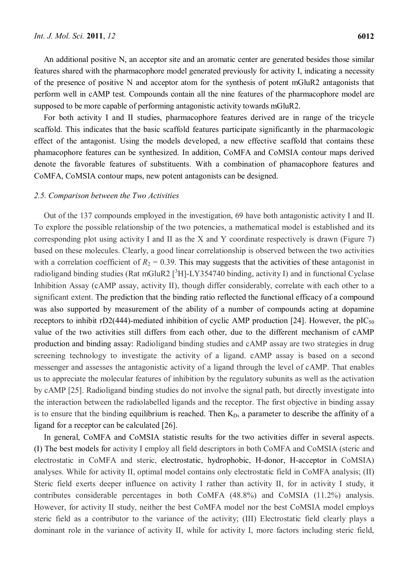An additional positive N, an acceptor site and an aromatic center are generated besides those similar features shared with the pharmacophore model generated previously for activity I, indicating a necessity of the presence of positive N and acceptor atom for the synthesis of potent mGluR2 antagonists that perform well in cAMP test. Compounds contain all the nine features of the pharmacophore model are supposed to be more capable of performing antagonistic activity towards mGluR2.

For both activity I and II studies, pharmacophore features derived are in range of the tricycle scaffold. This indicates that the basic scaffold features participate significantly in the pharmacologic effect of the antagonist. Using the models developed, a new effective scaffold that contains these phamacophore features can be synthesized. In addition, CoMFA and CoMSIA contour maps derived denote the favorable features of substituents. With a combination of phamacophore features and CoMFA, CoMSIA contour maps, new potent antagonists can be designed.

## *2.5. Comparison between the Two Activities*

Out of the 137 compounds employed in the investigation, 69 have both antagonistic activity I and II. To explore the possible relationship of the two potencies, a mathematical model is established and its corresponding plot using activity I and II as the X and Y coordinate respectively is drawn (Figure 7) based on these molecules. Clearly, a good linear correlationship is observed between the two activities with a correlation coefficient of  $R_2 = 0.39$ . This may suggests that the activities of these antagonist in radioligand binding studies (Rat mGluR2  $[^3H]$ -LY354740 binding, activity I) and in functional Cyclase Inhibition Assay (cAMP assay, activity II), though differ considerably, correlate with each other to a significant extent. The prediction that the binding ratio reflected the functional efficacy of a compound was also supported by measurement of the ability of a number of compounds acting at dopamine receptors to inhibit rD2(444)-mediated inhibition of cyclic AMP production [24]. However, the pIC<sub>50</sub> value of the two activities still differs from each other, due to the different mechanism of cAMP production and binding assay: Radioligand binding studies and cAMP assay are two strategies in drug screening technology to investigate the activity of a ligand. cAMP assay is based on a second messenger and assesses the antagonistic activity of a ligand through the level of cAMP. That enables us to appreciate the molecular features of inhibition by the regulatory subunits as well as the activation by cAMP [25]. Radioligand binding studies do not involve the signal path, but directly investigate into the interaction between the radiolabelled ligands and the receptor. The first objective in binding assay is to ensure that the binding equilibrium is reached. Then  $K_D$ , a parameter to describe the affinity of a ligand for a receptor can be calculated [26].

In general, CoMFA and CoMSIA statistic results for the two activities differ in several aspects. (I) The best models for activity I employ all field descriptors in both CoMFA and CoMSIA (steric and electrostatic in CoMFA and steric, electrostatic, hydrophobic, H-donor, H-acceptor in CoMSIA) analyses. While for activity II, optimal model contains only electrostatic field in CoMFA analysis; (II) Steric field exerts deeper influence on activity I rather than activity II, for in activity I study, it contributes considerable percentages in both CoMFA (48.8%) and CoMSIA (11.2%) analysis. However, for activity II study, neither the best CoMFA model nor the best CoMSIA model employs steric field as a contributor to the variance of the activity; (III) Electrostatic field clearly plays a dominant role in the variance of activity II, while for activity I, more factors including steric field,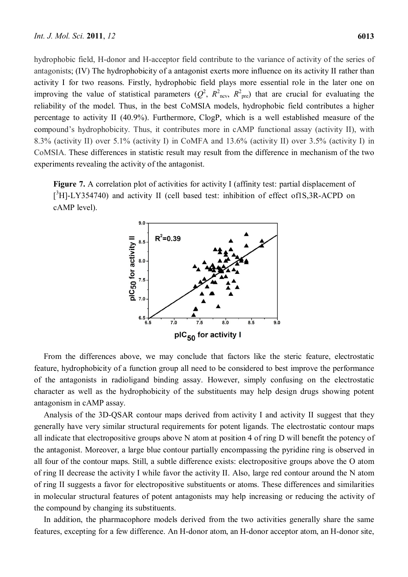hydrophobic field, H-donor and H-acceptor field contribute to the variance of activity of the series of antagonists; (IV) The hydrophobicity of a antagonist exerts more influence on its activity II rather than activity I for two reasons. Firstly, hydrophobic field plays more essential role in the later one on improving the value of statistical parameters  $(Q^2, R^2_{\text{ncv}}, R^2_{\text{pre}})$  that are crucial for evaluating the reliability of the model. Thus, in the best CoMSIA models, hydrophobic field contributes a higher percentage to activity II (40.9%). Furthermore, ClogP, which is a well established measure of the compound's hydrophobicity. Thus, it contributes more in cAMP functional assay (activity II), with 8.3% (activity II) over 5.1% (activity I) in CoMFA and 13.6% (activity II) over 3.5% (activity I) in CoMSIA. These differences in statistic result may result from the difference in mechanism of the two experiments revealing the activity of the antagonist.

Figure 7. A correlation plot of activities for activity I (affinity test: partial displacement of  $[^3H]$ -LY354740) and activity II (cell based test: inhibition of effect of1S,3R-ACPD on cAMP level).



From the differences above, we may conclude that factors like the steric feature, electrostatic feature, hydrophobicity of a function group all need to be considered to best improve the performance of the antagonists in radioligand binding assay. However, simply confusing on the electrostatic character as well as the hydrophobicity of the substituents may help design drugs showing potent antagonism in cAMP assay.

Analysis of the 3D-QSAR contour maps derived from activity I and activity II suggest that they generally have very similar structural requirements for potent ligands. The electrostatic contour maps all indicate that electropositive groups above N atom at position 4 of ring D will benefit the potency of the antagonist. Moreover, a large blue contour partially encompassing the pyridine ring is observed in all four of the contour maps. Still, a subtle difference exists: electropositive groups above the O atom of ring II decrease the activity I while favor the activity II. Also, large red contour around the N atom of ring II suggests a favor for electropositive substituents or atoms. These differences and similarities in molecular structural features of potent antagonists may help increasing or reducing the activity of the compound by changing its substituents.

In addition, the pharmacophore models derived from the two activities generally share the same features, excepting for a few difference. An H-donor atom, an H-donor acceptor atom, an H-donor site,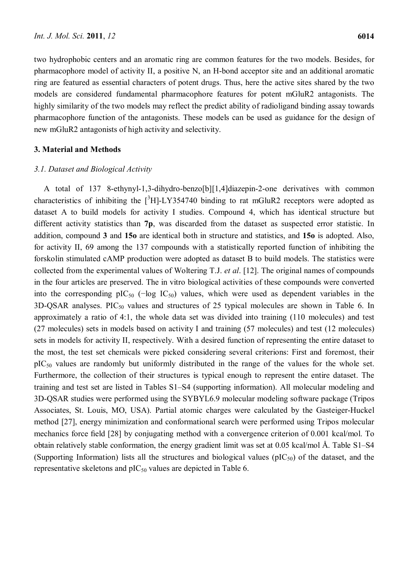two hydrophobic centers and an aromatic ring are common features for the two models. Besides, for pharmacophore model of activity II, a positive N, an H-bond acceptor site and an additional aromatic ring are featured as essential characters of potent drugs. Thus, here the active sites shared by the two models are considered fundamental pharmacophore features for potent mGluR2 antagonists. The highly similarity of the two models may reflect the predict ability of radioligand binding assay towards pharmacophore function of the antagonists. These models can be used as guidance for the design of new mGluR2 antagonists of high activity and selectivity.

## **3. Material and Methods**

## *3.1. Dataset and Biological Activity*

A total of 137 8-ethynyl-1,3-dihydro-benzo[b][1,4]diazepin-2-one derivatives with common characteristics of inhibiting the  $[^{3}H]$ -LY354740 binding to rat mGluR2 receptors were adopted as dataset A to build models for activity I studies. Compound 4, which has identical structure but different activity statistics than **7p**, was discarded from the dataset as suspected error statistic. In addition, compound **3** and **15o** are identical both in structure and statistics, and **15o** is adopted. Also, for activity II, 69 among the 137 compounds with a statistically reported function of inhibiting the forskolin stimulated cAMP production were adopted as dataset B to build models. The statistics were collected from the experimental values of Woltering T.J. *et al*. [12]. The original names of compounds in the four articles are preserved. The in vitro biological activities of these compounds were converted into the corresponding pIC<sub>50</sub> ( $-\log$  IC<sub>50</sub>) values, which were used as dependent variables in the  $3D-QSAR$  analyses. PIC<sub>50</sub> values and structures of 25 typical molecules are shown in Table 6. In approximately a ratio of 4:1, the whole data set was divided into training (110 molecules) and test (27 molecules) sets in models based on activity I and training (57 molecules) and test (12 molecules) sets in models for activity II, respectively. With a desired function of representing the entire dataset to the most, the test set chemicals were picked considering several criterions: First and foremost, their  $pIC_{50}$  values are randomly but uniformly distributed in the range of the values for the whole set. Furthermore, the collection of their structures is typical enough to represent the entire dataset. The training and test set are listed in Tables S1–S4 (supporting information). All molecular modeling and 3D-QSAR studies were performed using the SYBYL6.9 molecular modeling software package (Tripos Associates, St. Louis, MO, USA). Partial atomic charges were calculated by the Gasteiger-Huckel method [27], energy minimization and conformational search were performed using Tripos molecular mechanics force field [28] by conjugating method with a convergence criterion of 0.001 kcal/mol. To obtain relatively stable conformation, the energy gradient limit was set at 0.05 kcal/mol Å. Table S1–S4 (Supporting Information) lists all the structures and biological values ( $pIC_{50}$ ) of the dataset, and the representative skeletons and  $pIC_{50}$  values are depicted in Table 6.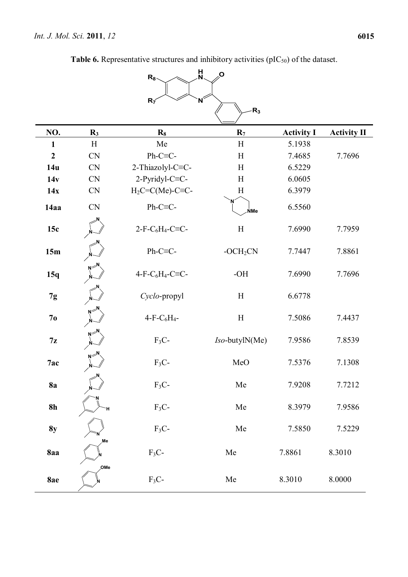| H<br>N<br>Ο<br>$R_8$ |                   |                             |                           |                   |                    |  |
|----------------------|-------------------|-----------------------------|---------------------------|-------------------|--------------------|--|
|                      |                   | N<br>$R_{\tilde{I}}$        |                           |                   |                    |  |
|                      |                   |                             | $R_3$                     |                   |                    |  |
| NO.                  | R <sub>3</sub>    | $R_8$                       | $R_7$                     | <b>Activity I</b> | <b>Activity II</b> |  |
| $\mathbf{1}$         | H                 | Me                          | H                         | 5.1938            |                    |  |
| $\boldsymbol{2}$     | <b>CN</b>         | $Ph-C\equiv C$ -            | H                         | 7.4685            | 7.7696             |  |
| 14u                  | <b>CN</b>         | 2-Thiazolyl-C=C-            | H                         | 6.5229            |                    |  |
| 14v                  | <b>CN</b>         | 2-Pyridyl-C≡C-              | H                         | 6.0605            |                    |  |
| 14x                  | <b>CN</b>         | $H_2C=C(Me)$ -C $\equiv$ C- | H                         | 6.3979            |                    |  |
| 14aa                 | CN                | $Ph-C\equiv C$ -            | <b>NMe</b>                | 6.5560            |                    |  |
| 15c                  |                   | $2-F-C6H4-C\equiv C-$       | $\boldsymbol{\mathrm{H}}$ | 7.6990            | 7.7959             |  |
| 15m                  |                   | Ph-C≡C-                     | $- OCH2CN$                | 7.7447            | 7.8861             |  |
| 15q                  | $N^{\geq 1}$<br>Ń | $4-F-C6H4-C\equiv C-$       | $-OH$                     | 7.6990            | 7.7696             |  |
| 7g                   |                   | Cyclo-propyl                | H                         | 6.6778            |                    |  |
| 7 <sub>0</sub>       |                   | $4-F-C6H4$ -                | $\boldsymbol{\mathrm{H}}$ | 7.5086            | 7.4437             |  |
| 7z                   | $N^{\geq}$        | $F_3C$ -                    | Iso-butylN(Me)            | 7.9586            | 7.8539             |  |
| 7ac                  |                   | $F_3C$ -                    | MeO                       | 7.5376            | 7.1308             |  |
| <b>8a</b>            |                   | $F_3C$ -                    | Me                        | 7.9208            | 7.7212             |  |
| 8h                   | н                 | $F_3C$ -                    | Me                        | 8.3979            | 7.9586             |  |
| <b>8y</b>            |                   | $F_3C$ -                    | ${\rm Me}$                | 7.5850            | 7.5229             |  |
| 8aa                  | Me                | $F_3C$ -                    | ${\rm Me}$                | 7.8861            | 8.3010             |  |
| 8ae                  | OMe               | $F_3C$ -                    | ${\rm Me}$                | 8.3010            | 8.0000             |  |

**Table 6.** Representative structures and inhibitory activities (pIC<sub>50</sub>) of the dataset.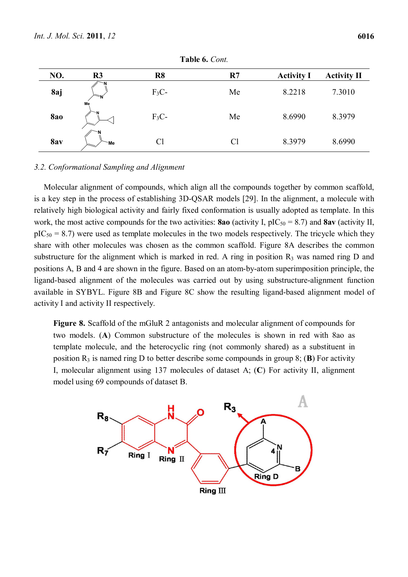| NO.        | R <sub>3</sub> | R <sub>8</sub> | R7 | <b>Activity I</b> | <b>Activity II</b> |
|------------|----------------|----------------|----|-------------------|--------------------|
| 8aj        | 'N             | $F_3C-$        | Me | 8.2218            | 7.3010             |
| <b>8ao</b> | Me             | $F_3C-$        | Me | 8.6990            | 8.3979             |
| 8av        | `Me            | C <sub>1</sub> | Cl | 8.3979            | 8.6990             |

**Table 6.** *Cont.* 

## *3.2. Conformational Sampling and Alignment*

Molecular alignment of compounds, which align all the compounds together by common scaffold, is a key step in the process of establishing 3D-QSAR models [29]. In the alignment, a molecule with relatively high biological activity and fairly fixed conformation is usually adopted as template. In this work, the most active compounds for the two activities: **8ao** (activity I,  $pIC_{50} = 8.7$ ) and **8av** (activity II,  $pIC_{50} = 8.7$ ) were used as template molecules in the two models respectively. The tricycle which they share with other molecules was chosen as the common scaffold. Figure 8A describes the common substructure for the alignment which is marked in red. A ring in position  $R_3$  was named ring D and positions A, B and 4 are shown in the figure. Based on an atom-by-atom superimposition principle, the ligand-based alignment of the molecules was carried out by using substructure-alignment function available in SYBYL. Figure 8B and Figure 8C show the resulting ligand-based alignment model of activity I and activity II respectively.

**Figure 8.** Scaffold of the mGluR 2 antagonists and molecular alignment of compounds for two models. (**A**) Common substructure of the molecules is shown in red with 8ao as template molecule, and the heterocyclic ring (not commonly shared) as a substituent in position  $R_3$  is named ring D to better describe some compounds in group 8; (**B**) For activity I, molecular alignment using 137 molecules of dataset A; (**C**) For activity II, alignment model using 69 compounds of dataset B.

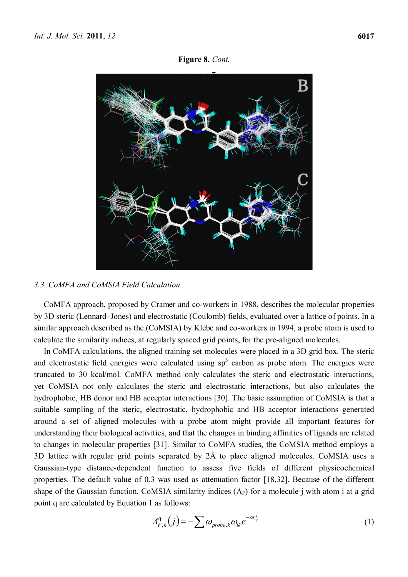**Figure 8.** *Cont.* 



## *3.3. CoMFA and CoMSIA Field Calculation*

CoMFA approach, proposed by Cramer and co-workers in 1988, describes the molecular properties by 3D steric (Lennard–Jones) and electrostatic (Coulomb) fields, evaluated over a lattice of points. In a similar approach described as the (CoMSIA) by Klebe and co-workers in 1994, a probe atom is used to calculate the similarity indices, at regularly spaced grid points, for the pre-aligned molecules.

In CoMFA calculations, the aligned training set molecules were placed in a 3D grid box. The steric and electrostatic field energies were calculated using  $sp<sup>3</sup>$  carbon as probe atom. The energies were truncated to 30 kcal/mol. CoMFA method only calculates the steric and electrostatic interactions, yet CoMSIA not only calculates the steric and electrostatic interactions, but also calculates the hydrophobic, HB donor and HB acceptor interactions [30]. The basic assumption of CoMSIA is that a suitable sampling of the steric, electrostatic, hydrophobic and HB acceptor interactions generated around a set of aligned molecules with a probe atom might provide all important features for understanding their biological activities, and that the changes in binding affinities of ligands are related to changes in molecular properties [31]. Similar to CoMFA studies, the CoMSIA method employs a 3D lattice with regular grid points separated by 2Å to place aligned molecules. CoMSIA uses a Gaussian-type distance-dependent function to assess five fields of different physicochemical properties. The default value of 0.3 was used as attenuation factor [18,32]. Because of the different shape of the Gaussian function, CoMSIA similarity indices  $(A_F)$  for a molecule j with atom i at a grid point q are calculated by Equation 1 as follows:

$$
A_{F,k}^{\mathbf{q}}(j) = -\sum \omega_{probe,k} \omega_{ik} e^{-\alpha r_{iq}^2}
$$
 (1)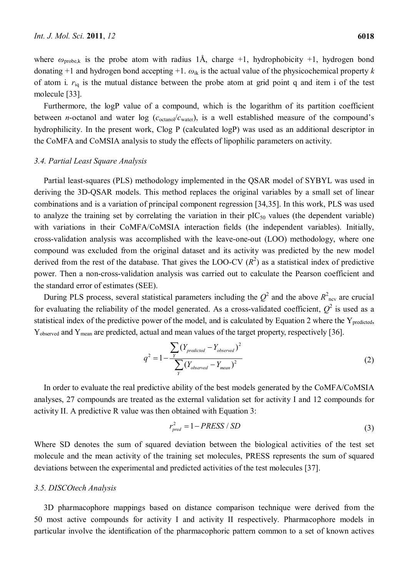where  $\omega_{\text{probe,k}}$  is the probe atom with radius 1Å, charge +1, hydrophobicity +1, hydrogen bond donating  $+1$  and hydrogen bond accepting  $+1$ .  $\omega_{ik}$  is the actual value of the physicochemical property *k* of atom i. *r*iq is the mutual distance between the probe atom at grid point q and item i of the test molecule [33].

Furthermore, the logP value of a compound, which is the logarithm of its partition coefficient between *n*-octanol and water log ( $c_{\text{octanol}}/c_{\text{water}}$ ), is a well established measure of the compound's hydrophilicity. In the present work, Clog P (calculated logP) was used as an additional descriptor in the CoMFA and CoMSIA analysis to study the effects of lipophilic parameters on activity.

## *3.4. Partial Least Square Analysis*

Partial least-squares (PLS) methodology implemented in the QSAR model of SYBYL was used in deriving the 3D-QSAR models. This method replaces the original variables by a small set of linear combinations and is a variation of principal component regression [34,35]. In this work, PLS was used to analyze the training set by correlating the variation in their  $pIC_{50}$  values (the dependent variable) with variations in their CoMFA/CoMSIA interaction fields (the independent variables). Initially, cross-validation analysis was accomplished with the leave-one-out (LOO) methodology, where one compound was excluded from the original dataset and its activity was predicted by the new model derived from the rest of the database. That gives the LOO-CV  $(R^2)$  as a statistical index of predictive power. Then a non-cross-validation analysis was carried out to calculate the Pearson coefficient and the standard error of estimates (SEE).

During PLS process, several statistical parameters including the  $Q^2$  and the above  $R^2_{\text{ncv}}$  are crucial for evaluating the reliability of the model generated. As a cross-validated coefficient,  $Q^2$  is used as a statistical index of the predictive power of the model, and is calculated by Equation 2 where the  $Y_{predicted}$ , Y<sub>observed</sub> and Y<sub>mean</sub> are predicted, actual and mean values of the target property, respectively [36].

$$
q^2 = 1 - \frac{\sum_{Y} (Y_{predicted} - Y_{observed})^2}{\sum_{Y} (Y_{observed} - Y_{mean})^2}
$$
 (2)

In order to evaluate the real predictive ability of the best models generated by the CoMFA/CoMSIA analyses, 27 compounds are treated as the external validation set for activity I and 12 compounds for activity II. A predictive R value was then obtained with Equation 3:

$$
r_{pred}^2 = 1 - PRESS / SD \tag{3}
$$

Where SD denotes the sum of squared deviation between the biological activities of the test set molecule and the mean activity of the training set molecules, PRESS represents the sum of squared deviations between the experimental and predicted activities of the test molecules [37].

#### *3.5. DISCOtech Analysis*

3D pharmacophore mappings based on distance comparison technique were derived from the 50 most active compounds for activity I and activity II respectively. Pharmacophore models in particular involve the identification of the pharmacophoric pattern common to a set of known actives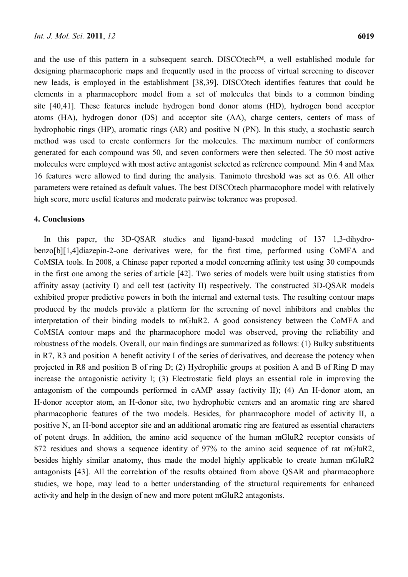and the use of this pattern in a subsequent search. DISCOtech™, a well established module for designing pharmacophoric maps and frequently used in the process of virtual screening to discover new leads, is employed in the establishment [38,39]. DISCOtech identifies features that could be elements in a pharmacophore model from a set of molecules that binds to a common binding site [40,41]. These features include hydrogen bond donor atoms (HD), hydrogen bond acceptor atoms (HA), hydrogen donor (DS) and acceptor site (AA), charge centers, centers of mass of hydrophobic rings (HP), aromatic rings (AR) and positive N (PN). In this study, a stochastic search method was used to create conformers for the molecules. The maximum number of conformers generated for each compound was 50, and seven conformers were then selected. The 50 most active molecules were employed with most active antagonist selected as reference compound. Min 4 and Max 16 features were allowed to find during the analysis. Tanimoto threshold was set as 0.6. All other parameters were retained as default values. The best DISCOtech pharmacophore model with relatively high score, more useful features and moderate pairwise tolerance was proposed.

## **4. Conclusions**

In this paper, the 3D-QSAR studies and ligand-based modeling of 137 1,3-dihydrobenzo[b][1,4]diazepin-2-one derivatives were, for the first time, performed using CoMFA and CoMSIA tools. In 2008, a Chinese paper reported a model concerning affinity test using 30 compounds in the first one among the series of article [42]. Two series of models were built using statistics from affinity assay (activity I) and cell test (activity II) respectively. The constructed 3D-QSAR models exhibited proper predictive powers in both the internal and external tests. The resulting contour maps produced by the models provide a platform for the screening of novel inhibitors and enables the interpretation of their binding models to mGluR2. A good consistency between the CoMFA and CoMSIA contour maps and the pharmacophore model was observed, proving the reliability and robustness of the models. Overall, our main findings are summarized as follows: (1) Bulky substituents in R7, R3 and position A benefit activity I of the series of derivatives, and decrease the potency when projected in R8 and position B of ring D; (2) Hydrophilic groups at position A and B of Ring D may increase the antagonistic activity I; (3) Electrostatic field plays an essential role in improving the antagonism of the compounds performed in cAMP assay (activity II); (4) An H-donor atom, an H-donor acceptor atom, an H-donor site, two hydrophobic centers and an aromatic ring are shared pharmacophoric features of the two models. Besides, for pharmacophore model of activity II, a positive N, an H-bond acceptor site and an additional aromatic ring are featured as essential characters of potent drugs. In addition, the amino acid sequence of the human mGluR2 receptor consists of 872 residues and shows a sequence identity of 97% to the amino acid sequence of rat mGluR2, besides highly similar anatomy, thus made the model highly applicable to create human mGluR2 antagonists [43]. All the correlation of the results obtained from above QSAR and pharmacophore studies, we hope, may lead to a better understanding of the structural requirements for enhanced activity and help in the design of new and more potent mGluR2 antagonists.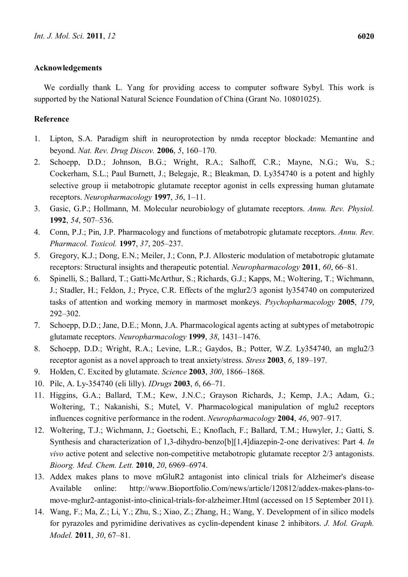## **Acknowledgements**

We cordially thank L. Yang for providing access to computer software Sybyl. This work is supported by the National Natural Science Foundation of China (Grant No. 10801025).

# **Reference**

- 1. Lipton, S.A. Paradigm shift in neuroprotection by nmda receptor blockade: Memantine and beyond. *Nat. Rev. Drug Discov.* **2006**, *5*, 160–170.
- 2. Schoepp, D.D.; Johnson, B.G.; Wright, R.A.; Salhoff, C.R.; Mayne, N.G.; Wu, S.; Cockerham, S.L.; Paul Burnett, J.; Belegaje, R.; Bleakman, D. Ly354740 is a potent and highly selective group ii metabotropic glutamate receptor agonist in cells expressing human glutamate receptors. *Neuropharmacology* **1997**, *36*, 1–11.
- 3. Gasic, G.P.; Hollmann, M. Molecular neurobiology of glutamate receptors. *Annu. Rev. Physiol.*  **1992**, *54*, 507–536.
- 4. Conn, P.J.; Pin, J.P. Pharmacology and functions of metabotropic glutamate receptors. *Annu. Rev. Pharmacol. Toxicol.* **1997**, *37*, 205–237.
- 5. Gregory, K.J.; Dong, E.N.; Meiler, J.; Conn, P.J. Allosteric modulation of metabotropic glutamate receptors: Structural insights and therapeutic potential. *Neuropharmacology* **2011**, *60*, 66–81.
- 6. Spinelli, S.; Ballard, T.; Gatti-McArthur, S.; Richards, G.J.; Kapps, M.; Woltering, T.; Wichmann, J.; Stadler, H.; Feldon, J.; Pryce, C.R. Effects of the mglur2/3 agonist ly354740 on computerized tasks of attention and working memory in marmoset monkeys. *Psychopharmacology* **2005**, *179*, 292–302.
- 7. Schoepp, D.D.; Jane, D.E.; Monn, J.A. Pharmacological agents acting at subtypes of metabotropic glutamate receptors. *Neuropharmacology* **1999**, *38*, 1431–1476.
- 8. Schoepp, D.D.; Wright, R.A.; Levine, L.R.; Gaydos, B.; Potter, W.Z. Ly354740, an mglu2/3 receptor agonist as a novel approach to treat anxiety/stress. *Stress* **2003**, *6*, 189–197.
- 9. Holden, C. Excited by glutamate. *Science* **2003**, *300*, 1866–1868.
- 10. Pilc, A. Ly-354740 (eli lilly). *IDrugs* **2003**, *6*, 66–71.
- 11. Higgins, G.A.; Ballard, T.M.; Kew, J.N.C.; Grayson Richards, J.; Kemp, J.A.; Adam, G.; Woltering, T.; Nakanishi, S.; Mutel, V. Pharmacological manipulation of mglu2 receptors influences cognitive performance in the rodent. *Neuropharmacology* **2004**, *46*, 907–917.
- 12. Woltering, T.J.; Wichmann, J.; Goetschi, E.; Knoflach, F.; Ballard, T.M.; Huwyler, J.; Gatti, S. Synthesis and characterization of 1,3-dihydro-benzo[b][1,4]diazepin-2-one derivatives: Part 4. *In vivo* active potent and selective non-competitive metabotropic glutamate receptor 2/3 antagonists. *Bioorg. Med. Chem. Lett.* **2010**, *20*, 6969–6974.
- 13. Addex makes plans to move mGluR2 antagonist into clinical trials for Alzheimer's disease Available online: http://www.Bioportfolio.Com/news/article/120812/addex-makes-plans-tomove-mglur2-antagonist-into-clinical-trials-for-alzheimer.Html (accessed on 15 September 2011).
- 14. Wang, F.; Ma, Z.; Li, Y.; Zhu, S.; Xiao, Z.; Zhang, H.; Wang, Y. Development of in silico models for pyrazoles and pyrimidine derivatives as cyclin-dependent kinase 2 inhibitors. *J. Mol. Graph. Model.* **2011**, *30*, 67–81.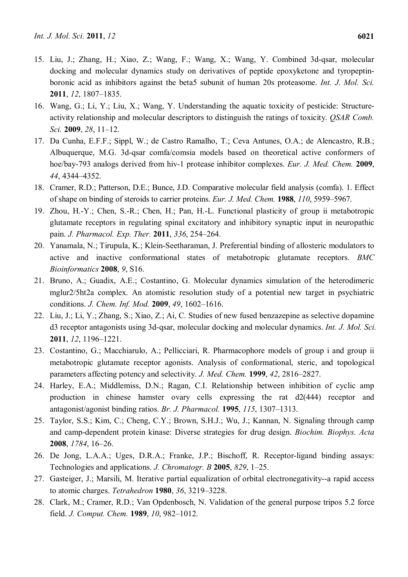- 15. Liu, J.; Zhang, H.; Xiao, Z.; Wang, F.; Wang, X.; Wang, Y. Combined 3d-qsar, molecular docking and molecular dynamics study on derivatives of peptide epoxyketone and tyropeptinboronic acid as inhibitors against the beta5 subunit of human 20s proteasome. *Int. J. Mol. Sci.*  **2011**, *12*, 1807–1835.
- 16. Wang, G.; Li, Y.; Liu, X.; Wang, Y. Understanding the aquatic toxicity of pesticide: Structureactivity relationship and molecular descriptors to distinguish the ratings of toxicity. *QSAR Comb. Sci.* **2009**, *28*, 11–12.
- 17. Da Cunha, E.F.F.; Sippl, W.; de Castro Ramalho, T.; Ceva Antunes, O.A.; de Alencastro, R.B.; Albuquerque, M.G. 3d-qsar comfa/comsia models based on theoretical active conformers of hoe/bay-793 analogs derived from hiv-1 protease inhibitor complexes. *Eur. J. Med. Chem.* **2009**, *44*, 4344–4352.
- 18. Cramer, R.D.; Patterson, D.E.; Bunce, J.D. Comparative molecular field analysis (comfa). 1. Effect of shape on binding of steroids to carrier proteins. *Eur. J. Med. Chem.* **1988**, *110*, 5959–5967.
- 19. Zhou, H.-Y.; Chen, S.-R.; Chen, H.; Pan, H.-L. Functional plasticity of group ii metabotropic glutamate receptors in regulating spinal excitatory and inhibitory synaptic input in neuropathic pain. *J. Pharmacol. Exp. Ther.* **2011**, *336*, 254–264.
- 20. Yanamala, N.; Tirupula, K.; Klein-Seetharaman, J. Preferential binding of allosteric modulators to active and inactive conformational states of metabotropic glutamate receptors. *BMC Bioinformatics* **2008**, *9*, S16.
- 21. Bruno, A.; Guadix, A.E.; Costantino, G. Molecular dynamics simulation of the heterodimeric mglur2/5ht2a complex. An atomistic resolution study of a potential new target in psychiatric conditions. *J. Chem. Inf. Mod.* **2009**, *49*, 1602–1616.
- 22. Liu, J.; Li, Y.; Zhang, S.; Xiao, Z.; Ai, C. Studies of new fused benzazepine as selective dopamine d3 receptor antagonists using 3d-qsar, molecular docking and molecular dynamics. *Int. J. Mol. Sci.*  **2011**, *12*, 1196–1221.
- 23. Costantino, G.; Macchiarulo, A.; Pellicciari, R. Pharmacophore models of group i and group ii metabotropic glutamate receptor agonists. Analysis of conformational, steric, and topological parameters affecting potency and selectivity. *J. Med. Chem.* **1999**, *42*, 2816–2827.
- 24. Harley, E.A.; Middlemiss, D.N.; Ragan, C.I. Relationship between inhibition of cyclic amp production in chinese hamster ovary cells expressing the rat d2(444) receptor and antagonist/agonist binding ratios. *Br. J. Pharmacol.* **1995**, *115*, 1307–1313.
- 25. Taylor, S.S.; Kim, C.; Cheng, C.Y.; Brown, S.H.J.; Wu, J.; Kannan, N. Signaling through camp and camp-dependent protein kinase: Diverse strategies for drug design. *Biochim. Biophys. Acta*  **2008**, *1784*, 16–26.
- 26. De Jong, L.A.A.; Uges, D.R.A.; Franke, J.P.; Bischoff, R. Receptor-ligand binding assays: Technologies and applications. *J. Chromatogr. B* **2005**, *829*, 1–25.
- 27. Gasteiger, J.; Marsili, M. Iterative partial equalization of orbital electronegativity--a rapid access to atomic charges. *Tetrahedron* **1980**, *36*, 3219–3228.
- 28. Clark, M.; Cramer, R.D.; Van Opdenbosch, N. Validation of the general purpose tripos 5.2 force field. *J. Comput. Chem.* **1989**, *10*, 982–1012.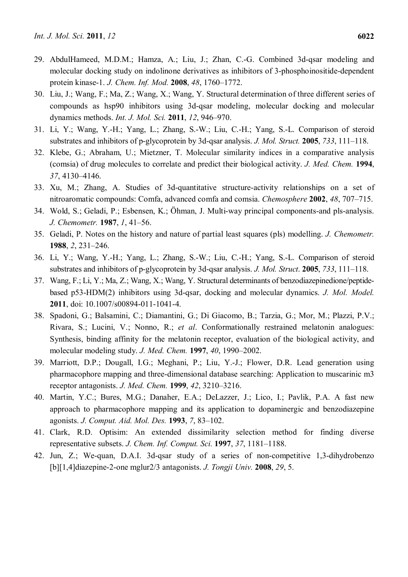- 29. AbdulHameed, M.D.M.; Hamza, A.; Liu, J.; Zhan, C.-G. Combined 3d-qsar modeling and molecular docking study on indolinone derivatives as inhibitors of 3-phosphoinositide-dependent protein kinase-1. *J. Chem. Inf. Mod.* **2008**, *48*, 1760–1772.
- 30. Liu, J.; Wang, F.; Ma, Z.; Wang, X.; Wang, Y. Structural determination of three different series of compounds as hsp90 inhibitors using 3d-qsar modeling, molecular docking and molecular dynamics methods. *Int. J. Mol. Sci.* **2011**, *12*, 946–970.
- 31. Li, Y.; Wang, Y.-H.; Yang, L.; Zhang, S.-W.; Liu, C.-H.; Yang, S.-L. Comparison of steroid substrates and inhibitors of p-glycoprotein by 3d-qsar analysis. *J. Mol. Struct.* **2005**, *733*, 111–118.
- 32. Klebe, G.; Abraham, U.; Mietzner, T. Molecular similarity indices in a comparative analysis (comsia) of drug molecules to correlate and predict their biological activity. *J. Med. Chem.* **1994**, *37*, 4130–4146.
- 33. Xu, M.; Zhang, A. Studies of 3d-quantitative structure-activity relationships on a set of nitroaromatic compounds: Comfa, advanced comfa and comsia. *Chemosphere* **2002**, *48*, 707–715.
- 34. Wold, S.; Geladi, P.; Esbensen, K.; Öhman, J. Multi-way principal components-and pls-analysis. *J. Chemometr.* **1987**, *1*, 41–56.
- 35. Geladi, P. Notes on the history and nature of partial least squares (pls) modelling. *J. Chemometr.*  **1988**, *2*, 231–246.
- 36. Li, Y.; Wang, Y.-H.; Yang, L.; Zhang, S.-W.; Liu, C.-H.; Yang, S.-L. Comparison of steroid substrates and inhibitors of p-glycoprotein by 3d-qsar analysis. *J. Mol. Struct*. **2005**, *733*, 111–118.
- 37. Wang, F.; Li, Y.; Ma, Z.; Wang, X.; Wang, Y. Structural determinants of benzodiazepinedione/peptidebased p53-HDM(2) inhibitors using 3d-qsar, docking and molecular dynamics. *J. Mol. Model.* **2011**, doi: 10.1007/s00894-011-1041-4.
- 38. Spadoni, G.; Balsamini, C.; Diamantini, G.; Di Giacomo, B.; Tarzia, G.; Mor, M.; Plazzi, P.V.; Rivara, S.; Lucini, V.; Nonno, R.; *et al*. Conformationally restrained melatonin analogues: Synthesis, binding affinity for the melatonin receptor, evaluation of the biological activity, and molecular modeling study. *J. Med. Chem.* **1997**, *40*, 1990–2002.
- 39. Marriott, D.P.; Dougall, I.G.; Meghani, P.; Liu, Y.-J.; Flower, D.R. Lead generation using pharmacophore mapping and three-dimensional database searching: Application to muscarinic m3 receptor antagonists. *J. Med. Chem.* **1999**, *42*, 3210–3216.
- 40. Martin, Y.C.; Bures, M.G.; Danaher, E.A.; DeLazzer, J.; Lico, I.; Pavlik, P.A. A fast new approach to pharmacophore mapping and its application to dopaminergic and benzodiazepine agonists. *J. Comput. Aid. Mol. Des.* **1993**, *7*, 83–102.
- 41. Clark, R.D. Optisim: An extended dissimilarity selection method for finding diverse representative subsets. *J. Chem. Inf. Comput. Sci.* **1997**, *37*, 1181–1188.
- 42. Jun, Z.; We-quan, D.A.I. 3d-qsar study of a series of non-competitive 1,3-dihydrobenzo [b][1,4]diazepine-2-one mglur2/3 antagonists. *J. Tongji Univ.* **2008**, *29*, 5.